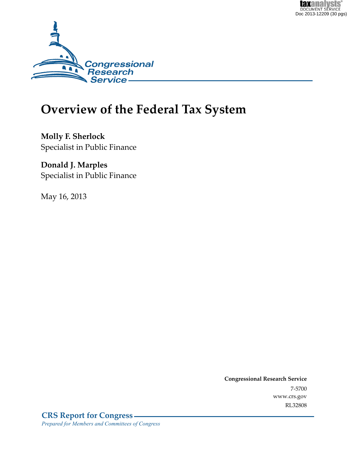

# **Overview of the Federal Tax System**

**Molly F. Sherlock**  Specialist in Public Finance

**Donald J. Marples**  Specialist in Public Finance

May 16, 2013

**Congressional Research Service**  7-5700 www.crs.gov RL32808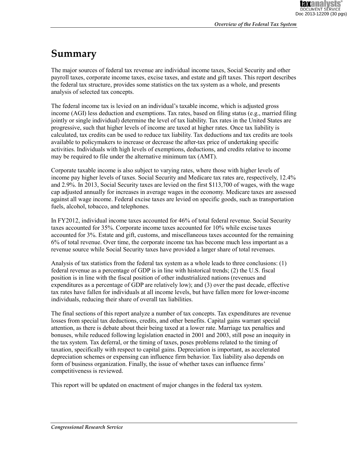# **Summary**

The major sources of federal tax revenue are individual income taxes, Social Security and other payroll taxes, corporate income taxes, excise taxes, and estate and gift taxes. This report describes the federal tax structure, provides some statistics on the tax system as a whole, and presents analysis of selected tax concepts.

The federal income tax is levied on an individual's taxable income, which is adjusted gross income (AGI) less deduction and exemptions. Tax rates, based on filing status (e.g., married filing jointly or single individual) determine the level of tax liability. Tax rates in the United States are progressive, such that higher levels of income are taxed at higher rates. Once tax liability is calculated, tax credits can be used to reduce tax liability. Tax deductions and tax credits are tools available to policymakers to increase or decrease the after-tax price of undertaking specific activities. Individuals with high levels of exemptions, deductions, and credits relative to income may be required to file under the alternative minimum tax (AMT).

Corporate taxable income is also subject to varying rates, where those with higher levels of income pay higher levels of taxes. Social Security and Medicare tax rates are, respectively, 12.4% and 2.9%. In 2013, Social Security taxes are levied on the first \$113,700 of wages, with the wage cap adjusted annually for increases in average wages in the economy. Medicare taxes are assessed against all wage income. Federal excise taxes are levied on specific goods, such as transportation fuels, alcohol, tobacco, and telephones.

In FY2012, individual income taxes accounted for 46% of total federal revenue. Social Security taxes accounted for 35%. Corporate income taxes accounted for 10% while excise taxes accounted for 3%. Estate and gift, customs, and miscellaneous taxes accounted for the remaining 6% of total revenue. Over time, the corporate income tax has become much less important as a revenue source while Social Security taxes have provided a larger share of total revenues.

Analysis of tax statistics from the federal tax system as a whole leads to three conclusions: (1) federal revenue as a percentage of GDP is in line with historical trends; (2) the U.S. fiscal position is in line with the fiscal position of other industrialized nations (revenues and expenditures as a percentage of GDP are relatively low); and (3) over the past decade, effective tax rates have fallen for individuals at all income levels, but have fallen more for lower-income individuals, reducing their share of overall tax liabilities.

The final sections of this report analyze a number of tax concepts. Tax expenditures are revenue losses from special tax deductions, credits, and other benefits. Capital gains warrant special attention, as there is debate about their being taxed at a lower rate. Marriage tax penalties and bonuses, while reduced following legislation enacted in 2001 and 2003, still pose an inequity in the tax system. Tax deferral, or the timing of taxes, poses problems related to the timing of taxation, specifically with respect to capital gains. Depreciation is important, as accelerated depreciation schemes or expensing can influence firm behavior. Tax liability also depends on form of business organization. Finally, the issue of whether taxes can influence firms' competitiveness is reviewed.

This report will be updated on enactment of major changes in the federal tax system.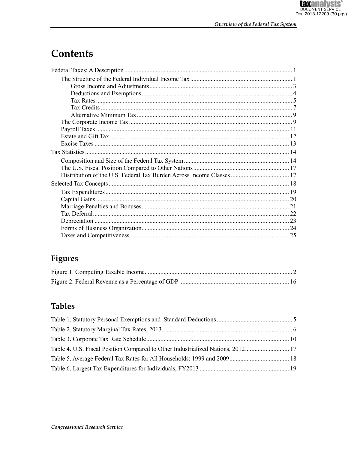# **Contents**

## Figures

## **Tables**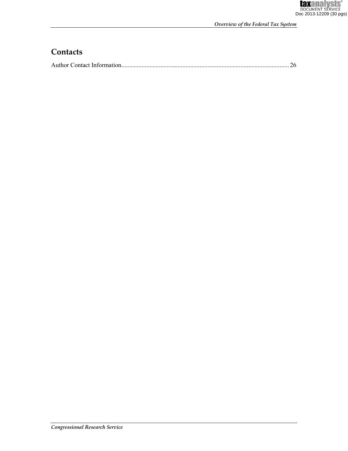

*Overview of the Federal Tax System* 

## **Contacts**

Author Contact Information........................................................................................................... 26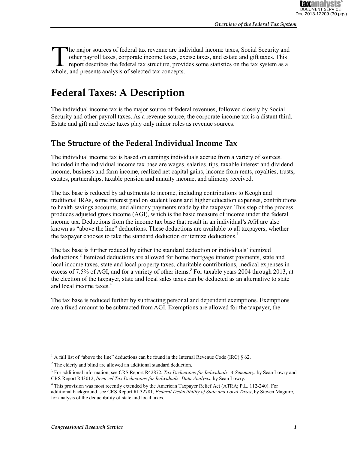he major sources of federal tax revenue are individual income taxes, Social Security and other payroll taxes, corporate income taxes, excise taxes, and estate and gift taxes. This report describes the federal tax structure, provides some statistics on the tax system as a The major sources of federal tax revenue are ind<br>other payroll taxes, corporate income taxes, ex<br>report describes the federal tax structure, provide<br>whole, and presents analysis of selected tax concepts.

# **Federal Taxes: A Description**

The individual income tax is the major source of federal revenues, followed closely by Social Security and other payroll taxes. As a revenue source, the corporate income tax is a distant third. Estate and gift and excise taxes play only minor roles as revenue sources.

## **The Structure of the Federal Individual Income Tax**

The individual income tax is based on earnings individuals accrue from a variety of sources. Included in the individual income tax base are wages, salaries, tips, taxable interest and dividend income, business and farm income, realized net capital gains, income from rents, royalties, trusts, estates, partnerships, taxable pension and annuity income, and alimony received.

The tax base is reduced by adjustments to income, including contributions to Keogh and traditional IRAs, some interest paid on student loans and higher education expenses, contributions to health savings accounts, and alimony payments made by the taxpayer. This step of the process produces adjusted gross income (AGI), which is the basic measure of income under the federal income tax. Deductions from the income tax base that result in an individual's AGI are also known as "above the line" deductions. These deductions are available to all taxpayers, whether the taxpayer chooses to take the standard deduction or itemize deductions.<sup>1</sup>

The tax base is further reduced by either the standard deduction or individuals' itemized deductions.<sup>2</sup> Itemized deductions are allowed for home mortgage interest payments, state and local income taxes, state and local property taxes, charitable contributions, medical expenses in excess of 7.5% of AGI, and for a variety of other items.<sup>3</sup> For taxable years 2004 through 2013, at the election of the taxpayer, state and local sales taxes can be deducted as an alternative to state and local income taxes.<sup>4</sup>

The tax base is reduced further by subtracting personal and dependent exemptions. Exemptions are a fixed amount to be subtracted from AGI. Exemptions are allowed for the taxpayer, the

<sup>&</sup>lt;sup>1</sup> A full list of "above the line" deductions can be found in the Internal Revenue Code (IRC)  $\S$  62.

 $2$  The elderly and blind are allowed an additional standard deduction.

<sup>3</sup> For additional information, see CRS Report R42872, *Tax Deductions for Individuals: A Summary*, by Sean Lowry and CRS Report R43012, *Itemized Tax Deductions for Individuals: Data Analysis*, by Sean Lowry.

<sup>&</sup>lt;sup>4</sup> This provision was most recently extended by the American Taxpayer Relief Act (ATRA; P.L. 112-240). For additional background, see CRS Report RL32781, *Federal Deductibility of State and Local Taxes*, by Steven Maguire, for analysis of the deductibility of state and local taxes.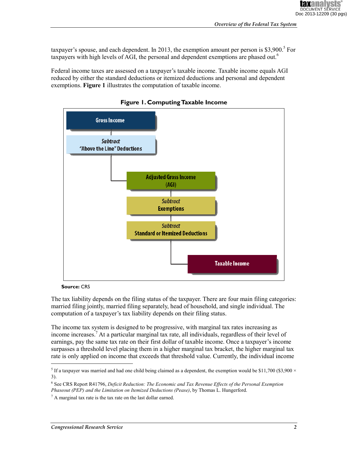taxpayer's spouse, and each dependent. In 2013, the exemption amount per person is \$3,900.<sup>5</sup> For taxpayers with high levels of AGI, the personal and dependent exemptions are phased out.<sup>6</sup>

Federal income taxes are assessed on a taxpayer's taxable income. Taxable income equals AGI reduced by either the standard deductions or itemized deductions and personal and dependent exemptions. **Figure 1** illustrates the computation of taxable income.



**Figure 1. Computing Taxable Income** 

**Source:** CRS

1

The tax liability depends on the filing status of the taxpayer. There are four main filing categories: married filing jointly, married filing separately, head of household, and single individual. The computation of a taxpayer's tax liability depends on their filing status.

The income tax system is designed to be progressive, with marginal tax rates increasing as income increases.7 At a particular marginal tax rate, all individuals, regardless of their level of earnings, pay the same tax rate on their first dollar of taxable income. Once a taxpayer's income surpasses a threshold level placing them in a higher marginal tax bracket, the higher marginal tax rate is only applied on income that exceeds that threshold value. Currently, the individual income

<sup>&</sup>lt;sup>5</sup> If a taxpayer was married and had one child being claimed as a dependent, the exemption would be \$11,700 (\$3,900  $\times$ 3).

<sup>6</sup> See CRS Report R41796, *Deficit Reduction: The Economic and Tax Revenue Effects of the Personal Exemption Phaseout (PEP) and the Limitation on Itemized Deductions (Pease)*, by Thomas L. Hungerford.

 $<sup>7</sup>$  A marginal tax rate is the tax rate on the last dollar earned.</sup>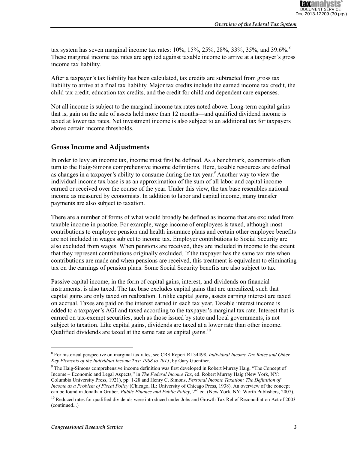tax system has seven marginal income tax rates:  $10\%$ ,  $15\%$ ,  $25\%$ ,  $28\%$ ,  $33\%$ ,  $35\%$ , and  $39.6\%$ .<sup>8</sup> These marginal income tax rates are applied against taxable income to arrive at a taxpayer's gross income tax liability.

After a taxpayer's tax liability has been calculated, tax credits are subtracted from gross tax liability to arrive at a final tax liability. Major tax credits include the earned income tax credit, the child tax credit, education tax credits, and the credit for child and dependent care expenses.

Not all income is subject to the marginal income tax rates noted above. Long-term capital gains that is, gain on the sale of assets held more than 12 months—and qualified dividend income is taxed at lower tax rates. Net investment income is also subject to an additional tax for taxpayers above certain income thresholds.

#### **Gross Income and Adjustments**

In order to levy an income tax, income must first be defined. As a benchmark, economists often turn to the Haig-Simons comprehensive income definitions. Here, taxable resources are defined as changes in a taxpayer's ability to consume during the tax year.<sup>9</sup> Another way to view the individual income tax base is as an approximation of the sum of all labor and capital income earned or received over the course of the year. Under this view, the tax base resembles national income as measured by economists. In addition to labor and capital income, many transfer payments are also subject to taxation.

There are a number of forms of what would broadly be defined as income that are excluded from taxable income in practice. For example, wage income of employees is taxed, although most contributions to employee pension and health insurance plans and certain other employee benefits are not included in wages subject to income tax. Employer contributions to Social Security are also excluded from wages. When pensions are received, they are included in income to the extent that they represent contributions originally excluded. If the taxpayer has the same tax rate when contributions are made and when pensions are received, this treatment is equivalent to eliminating tax on the earnings of pension plans. Some Social Security benefits are also subject to tax.

Passive capital income, in the form of capital gains, interest, and dividends on financial instruments, is also taxed. The tax base excludes capital gains that are unrealized, such that capital gains are only taxed on realization. Unlike capital gains, assets earning interest are taxed on accrual. Taxes are paid on the interest earned in each tax year. Taxable interest income is added to a taxpayer's AGI and taxed according to the taxpayer's marginal tax rate. Interest that is earned on tax-exempt securities, such as those issued by state and local governments, is not subject to taxation. Like capital gains, dividends are taxed at a lower rate than other income. Qualified dividends are taxed at the same rate as capital gains.<sup>10</sup>

<sup>8</sup> For historical perspective on marginal tax rates, see CRS Report RL34498, *Individual Income Tax Rates and Other Key Elements of the Individual Income Tax: 1988 to 2013*, by Gary Guenther.

<sup>&</sup>lt;sup>9</sup> The Haig-Simons comprehensive income definition was first developed in Robert Murray Haig, "The Concept of Income – Economic and Legal Aspects," in *The Federal Income Tax*, ed. Robert Murray Haig (New York, NY: Columbia University Press, 1921), pp. 1-28 and Henry C. Simons, *Personal Income Taxation: The Definition of Income as a Problem of Fiscal Policy* (Chicago, IL: University of Chicago Press, 1938). An overview of the concept can be found in Jonathan Gruber, *Public Finance and Public Policy*, 2nd ed. (New York, NY: Worth Publishers, 2007).

<sup>&</sup>lt;sup>10</sup> Reduced rates for qualified dividends were introduced under Jobs and Growth Tax Relief Reconciliation Act of 2003 (continued...)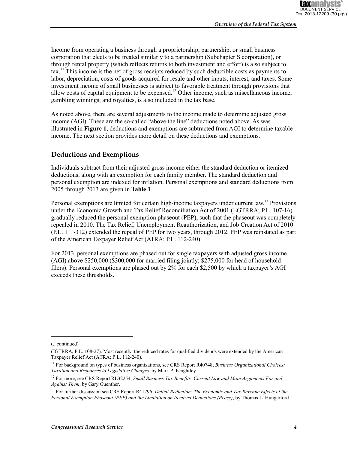Income from operating a business through a proprietorship, partnership, or small business corporation that elects to be treated similarly to a partnership (Subchapter S corporation), or through rental property (which reflects returns to both investment and effort) is also subject to  $\text{tax}$ <sup>11</sup>. This income is the net of gross receipts reduced by such deductible costs as payments to labor, depreciation, costs of goods acquired for resale and other inputs, interest, and taxes. Some investment income of small businesses is subject to favorable treatment through provisions that allow costs of capital equipment to be expensed.<sup>12</sup> Other income, such as miscellaneous income, gambling winnings, and royalties, is also included in the tax base.

As noted above, there are several adjustments to the income made to determine adjusted gross income (AGI). These are the so-called "above the line" deductions noted above. As was illustrated in **Figure 1**, deductions and exemptions are subtracted from AGI to determine taxable income. The next section provides more detail on these deductions and exemptions.

#### **Deductions and Exemptions**

Individuals subtract from their adjusted gross income either the standard deduction or itemized deductions, along with an exemption for each family member. The standard deduction and personal exemption are indexed for inflation. Personal exemptions and standard deductions from 2005 through 2013 are given in **Table 1**.

Personal exemptions are limited for certain high-income taxpayers under current law.<sup>13</sup> Provisions under the Economic Growth and Tax Relief Reconciliation Act of 2001 (EGTRRA; P.L. 107-16) gradually reduced the personal exemption phaseout (PEP), such that the phaseout was completely repealed in 2010. The Tax Relief, Unemployment Reauthorization, and Job Creation Act of 2010 (P.L. 111-312) extended the repeal of PEP for two years, through 2012. PEP was reinstated as part of the American Taxpayer Relief Act (ATRA; P.L. 112-240).

For 2013, personal exemptions are phased out for single taxpayers with adjusted gross income (AGI) above \$250,000 (\$300,000 for married filing jointly; \$275,000 for head of household filers). Personal exemptions are phased out by 2% for each \$2,500 by which a taxpayer's AGI exceeds these thresholds.

 $\overline{a}$ 

<sup>(...</sup>continued)

<sup>(</sup>JGTRRA, P.L. 108-27). Most recently, the reduced rates for qualified dividends were extended by the American Taxpayer Relief Act (ATRA; P.L. 112-240).

<sup>11</sup> For background on types of business organizations, see CRS Report R40748, *Business Organizational Choices: Taxation and Responses to Legislative Changes*, by Mark P. Keightley.

<sup>12</sup> For more, see CRS Report RL32254, *Small Business Tax Benefits: Current Law and Main Arguments For and Against Them*, by Gary Guenther.

<sup>&</sup>lt;sup>13</sup> For further discussion see CRS Report R41796, *Deficit Reduction: The Economic and Tax Revenue Effects of the Personal Exemption Phaseout (PEP) and the Limitation on Itemized Deductions (Pease)*, by Thomas L. Hungerford.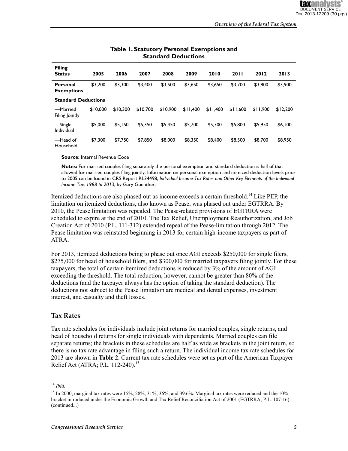| <b>Filing</b><br><b>Status</b>       | 2005     | 2006     | 2007     | 2008     | 2009     | 2010     | 2011     | 2012     | 2013     |
|--------------------------------------|----------|----------|----------|----------|----------|----------|----------|----------|----------|
| <b>Personal</b><br><b>Exemptions</b> | \$3,200  | \$3,300  | \$3,400  | \$3,500  | \$3,650  | \$3,650  | \$3,700  | \$3,800  | \$3,900  |
| <b>Standard Deductions</b>           |          |          |          |          |          |          |          |          |          |
| -Married<br>Filing Jointly           | \$10,000 | \$10.300 | \$10.700 | \$10.900 | \$11,400 | \$11,400 | \$11.600 | \$11.900 | \$12,200 |
| -Single<br>Individual                | \$5,000  | \$5,150  | \$5,350  | \$5,450  | \$5,700  | \$5,700  | \$5,800  | \$5.950  | \$6,100  |
| —Head of<br>Household                | \$7,300  | \$7,750  | \$7,850  | \$8,000  | \$8,350  | \$8,400  | \$8,500  | \$8,700  | \$8,950  |

#### **Table 1. Statutory Personal Exemptions and Standard Deductions**

**Source:** Internal Revenue Code

**Notes:** For married couples filing separately the personal exemption and standard deduction is half of that allowed for married couples filing jointly. Information on personal exemption and itemized deduction levels prior to 2005 can be found in CRS Report RL34498, *Individual Income Tax Rates and Other Key Elements of the Individual Income Tax: 1988 to 2013*, by Gary Guenther.

Itemized deductions are also phased out as income exceeds a certain threshold.<sup>14</sup> Like PEP, the limitation on itemized deductions, also known as Pease, was phased out under EGTRRA. By 2010, the Pease limitation was repealed. The Pease-related provisions of EGTRRA were scheduled to expire at the end of 2010. The Tax Relief, Unemployment Reauthorization, and Job Creation Act of 2010 (P.L. 111-312) extended repeal of the Pease-limitation through 2012. The Pease limitation was reinstated beginning in 2013 for certain high-income taxpayers as part of ATRA.

For 2013, itemized deductions being to phase out once AGI exceeds \$250,000 for single filers, \$275,000 for head of household filers, and \$300,000 for married taxpayers filing jointly. For these taxpayers, the total of certain itemized deductions is reduced by 3% of the amount of AGI exceeding the threshold. The total reduction, however, cannot be greater than 80% of the deductions (and the taxpayer always has the option of taking the standard deduction). The deductions not subject to the Pease limitation are medical and dental expenses, investment interest, and casualty and theft losses.

#### **Tax Rates**

Tax rate schedules for individuals include joint returns for married couples, single returns, and head of household returns for single individuals with dependents. Married couples can file separate returns; the brackets in these schedules are half as wide as brackets in the joint return, so there is no tax rate advantage in filing such a return. The individual income tax rate schedules for 2013 are shown in **Table 2**. Current tax rate schedules were set as part of the American Taxpayer Relief Act (ATRA; P.L. 112-240).<sup>15</sup>

<sup>14</sup> *Ibid.*

<sup>&</sup>lt;sup>15</sup> In 2000, marginal tax rates were 15%, 28%, 31%, 36%, and 39.6%. Marginal tax rates were reduced and the  $10\%$ bracket introduced under the Economic Growth and Tax Relief Reconciliation Act of 2001 (EGTRRA; P.L. 107-16). (continued...)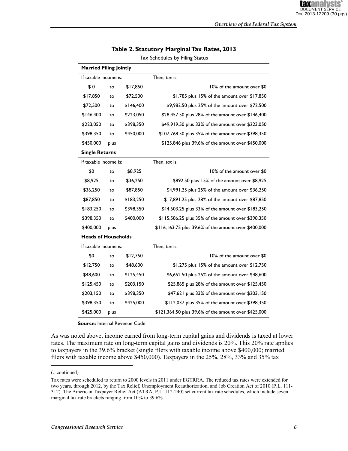| <b>Married Filing Jointly</b> |      |           |                                                      |
|-------------------------------|------|-----------|------------------------------------------------------|
| If taxable income is:         |      |           | Then, tax is:                                        |
| \$0                           | to   | \$17,850  | 10% of the amount over \$0                           |
| \$17,850                      | to   | \$72,500  | \$1,785 plus 15% of the amount over \$17,850         |
| \$72,500                      | to   | \$146,400 | \$9,982.50 plus 25% of the amount over \$72,500      |
| \$146,400                     | to   | \$223,050 | \$28,457.50 plus 28% of the amount over \$146,400    |
| \$223,050                     | to   | \$398,350 | \$49,919.50 plus 33% of the amount over \$223,050    |
| \$398,350                     | to   | \$450,000 | \$107,768.50 plus 35% of the amount over \$398,350   |
| \$450,000                     | plus |           | \$125,846 plus 39.6% of the amount over \$450,000    |
| <b>Single Returns</b>         |      |           |                                                      |
| If taxable income is:         |      |           | Then, tax is:                                        |
| \$0                           | to   | \$8,925   | 10% of the amount over \$0                           |
| \$8,925                       | to   | \$36,250  | \$892.50 plus 15% of the amount over \$8,925         |
| \$36,250                      | to   | \$87,850  | \$4,991.25 plus 25% of the amount over \$36,250      |
| \$87,850                      | to   | \$183,250 | \$17,891.25 plus 28% of the amount over \$87,850     |
| \$183,250                     | to   | \$398,350 | \$44,603.25 plus 33% of the amount over \$183,250    |
| \$398,350                     | to   | \$400,000 | \$115,586.25 plus 35% of the amount over \$398,350   |
| \$400,000                     | plus |           | \$116,163.75 plus 39.6% of the amount over \$400,000 |
| <b>Heads of Households</b>    |      |           |                                                      |
| If taxable income is:         |      |           | Then, tax is:                                        |
| \$0                           | to   | \$12,750  | 10% of the amount over \$0                           |
| \$12,750                      | to   | \$48,600  | \$1,275 plus 15% of the amount over \$12,750         |
| \$48,600                      | to   | \$125,450 | \$6,652.50 plus 25% of the amount over \$48,600      |
| \$125,450                     | to   | \$203,150 | \$25,865 plus 28% of the amount over \$125,450       |
| \$203,150                     | to   | \$398,350 | \$47,621 plus 33% of the amount over \$203,150       |
| \$398,350                     | to   | \$425,000 | \$112,037 plus 35% of the amount over \$398,350      |
| \$425,000                     | plus |           | \$121,364.50 plus 39.6% of the amount over \$425,000 |

**Table 2. Statutory Marginal Tax Rates, 2013**  Tax Schedules by Filing Status

**Source:** Internal Revenue Code

As was noted above, income earned from long-term capital gains and dividends is taxed at lower rates. The maximum rate on long-term capital gains and dividends is 20%. This 20% rate applies to taxpayers in the 39.6% bracket (single filers with taxable income above \$400,000; married filers with taxable income above \$450,000). Taxpayers in the 25%, 28%, 33% and 35% tax

<sup>(...</sup>continued)

Tax rates were scheduled to return to 2000 levels in 2011 under EGTRRA. The reduced tax rates were extended for two years, through 2012, by the Tax Relief, Unemployment Reauthorization, and Job Creation Act of 2010 (P.L. 111- 312). The American Taxpayer Relief Act (ATRA; P.L. 112-240) set current tax rate schedules, which include seven marginal tax rate brackets ranging from 10% to 39.6%.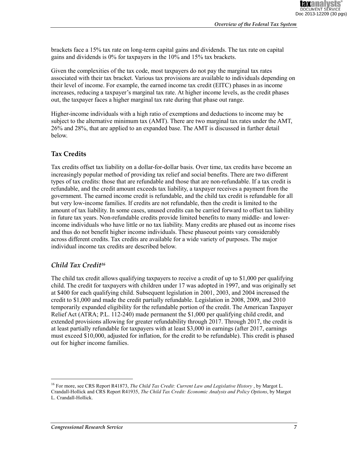brackets face a 15% tax rate on long-term capital gains and dividends. The tax rate on capital gains and dividends is 0% for taxpayers in the 10% and 15% tax brackets.

Given the complexities of the tax code, most taxpayers do not pay the marginal tax rates associated with their tax bracket. Various tax provisions are available to individuals depending on their level of income. For example, the earned income tax credit (EITC) phases in as income increases, reducing a taxpayer's marginal tax rate. At higher income levels, as the credit phases out, the taxpayer faces a higher marginal tax rate during that phase out range.

Higher-income individuals with a high ratio of exemptions and deductions to income may be subject to the alternative minimum tax (AMT). There are two marginal tax rates under the AMT, 26% and 28%, that are applied to an expanded base. The AMT is discussed in further detail below.

#### **Tax Credits**

Tax credits offset tax liability on a dollar-for-dollar basis. Over time, tax credits have become an increasingly popular method of providing tax relief and social benefits. There are two different types of tax credits: those that are refundable and those that are non-refundable. If a tax credit is refundable, and the credit amount exceeds tax liability, a taxpayer receives a payment from the government. The earned income credit is refundable, and the child tax credit is refundable for all but very low-income families. If credits are not refundable, then the credit is limited to the amount of tax liability. In some cases, unused credits can be carried forward to offset tax liability in future tax years. Non-refundable credits provide limited benefits to many middle- and lowerincome individuals who have little or no tax liability. Many credits are phased out as income rises and thus do not benefit higher income individuals. These phaseout points vary considerably across different credits. Tax credits are available for a wide variety of purposes. The major individual income tax credits are described below.

#### *Child Tax Credit16*

The child tax credit allows qualifying taxpayers to receive a credit of up to \$1,000 per qualifying child. The credit for taxpayers with children under 17 was adopted in 1997, and was originally set at \$400 for each qualifying child. Subsequent legislation in 2001, 2003, and 2004 increased the credit to \$1,000 and made the credit partially refundable. Legislation in 2008, 2009, and 2010 temporarily expanded eligibility for the refundable portion of the credit. The American Taxpayer Relief Act (ATRA; P.L. 112-240) made permanent the \$1,000 per qualifying child credit, and extended provisions allowing for greater refundability through 2017. Through 2017, the credit is at least partially refundable for taxpayers with at least \$3,000 in earnings (after 2017, earnings must exceed \$10,000, adjusted for inflation, for the credit to be refundable). This credit is phased out for higher income families.

<sup>&</sup>lt;sup>16</sup> For more, see CRS Report R41873, *The Child Tax Credit: Current Law and Legislative History*, by Margot L. Crandall-Hollick and CRS Report R41935, *The Child Tax Credit: Economic Analysis and Policy Options*, by Margot L. Crandall-Hollick.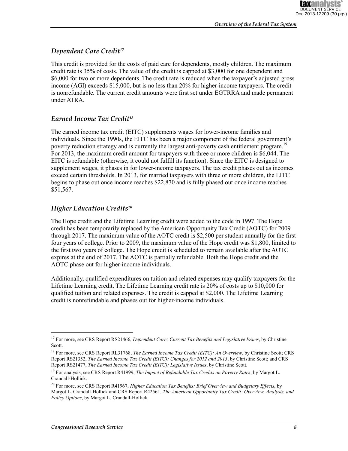#### *Dependent Care Credit17*

This credit is provided for the costs of paid care for dependents, mostly children. The maximum credit rate is 35% of costs. The value of the credit is capped at \$3,000 for one dependent and \$6,000 for two or more dependents. The credit rate is reduced when the taxpayer's adjusted gross income (AGI) exceeds \$15,000, but is no less than 20% for higher-income taxpayers. The credit is nonrefundable. The current credit amounts were first set under EGTRRA and made permanent under ATRA.

#### *Earned Income Tax Credit18*

The earned income tax credit (EITC) supplements wages for lower-income families and individuals. Since the 1990s, the EITC has been a major component of the federal government's poverty reduction strategy and is currently the largest anti-poverty cash entitlement program.<sup>19</sup> For 2013, the maximum credit amount for taxpayers with three or more children is \$6,044. The EITC is refundable (otherwise, it could not fulfill its function). Since the EITC is designed to supplement wages, it phases in for lower-income taxpayers. The tax credit phases out as incomes exceed certain thresholds. In 2013, for married taxpayers with three or more children, the EITC begins to phase out once income reaches \$22,870 and is fully phased out once income reaches \$51,567.

#### *Higher Education Credits20*

The Hope credit and the Lifetime Learning credit were added to the code in 1997. The Hope credit has been temporarily replaced by the American Opportunity Tax Credit (AOTC) for 2009 through 2017. The maximum value of the AOTC credit is \$2,500 per student annually for the first four years of college. Prior to 2009, the maximum value of the Hope credit was \$1,800, limited to the first two years of college. The Hope credit is scheduled to remain available after the AOTC expires at the end of 2017. The AOTC is partially refundable. Both the Hope credit and the AOTC phase out for higher-income individuals.

Additionally, qualified expenditures on tuition and related expenses may qualify taxpayers for the Lifetime Learning credit. The Lifetime Learning credit rate is 20% of costs up to \$10,000 for qualified tuition and related expenses. The credit is capped at \$2,000. The Lifetime Learning credit is nonrefundable and phases out for higher-income individuals.

<sup>17</sup> For more, see CRS Report RS21466, *Dependent Care: Current Tax Benefits and Legislative Issues*, by Christine Scott.

<sup>18</sup> For more, see CRS Report RL31768, *The Earned Income Tax Credit (EITC): An Overview*, by Christine Scott; CRS Report RS21352, *The Earned Income Tax Credit (EITC): Changes for 2012 and 2013*, by Christine Scott; and CRS Report RS21477, *The Earned Income Tax Credit (EITC): Legislative Issues*, by Christine Scott.

<sup>19</sup> For analysis, see CRS Report R41999, *The Impact of Refundable Tax Credits on Poverty Rates*, by Margot L. Crandall-Hollick.

<sup>20</sup> For more, see CRS Report R41967, *Higher Education Tax Benefits: Brief Overview and Budgetary Effects*, by Margot L. Crandall-Hollick and CRS Report R42561, *The American Opportunity Tax Credit: Overview, Analysis, and Policy Options*, by Margot L. Crandall-Hollick.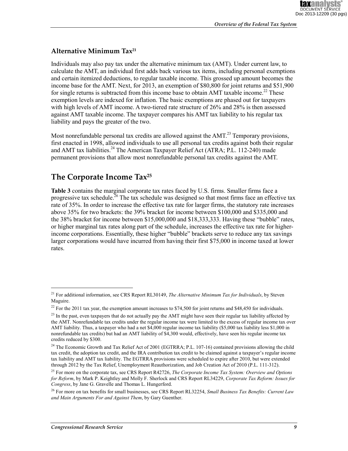#### **Alternative Minimum Tax21**

Individuals may also pay tax under the alternative minimum tax (AMT). Under current law, to calculate the AMT, an individual first adds back various tax items, including personal exemptions and certain itemized deductions, to regular taxable income. This grossed up amount becomes the income base for the AMT. Next, for 2013, an exemption of \$80,800 for joint returns and \$51,900 for single returns is subtracted from this income base to obtain AMT taxable income.<sup>22</sup> These exemption levels are indexed for inflation. The basic exemptions are phased out for taxpayers with high levels of AMT income. A two-tiered rate structure of 26% and 28% is then assessed against AMT taxable income. The taxpayer compares his AMT tax liability to his regular tax liability and pays the greater of the two.

Most nonrefundable personal tax credits are allowed against the  $AMT<sup>23</sup>$  Temporary provisions, first enacted in 1998, allowed individuals to use all personal tax credits against both their regular and AMT tax liabilities.<sup>24</sup> The American Taxpayer Relief Act (ATRA; P.L. 112-240) made permanent provisions that allow most nonrefundable personal tax credits against the AMT.

## **The Corporate Income Tax25**

**Table 3** contains the marginal corporate tax rates faced by U.S. firms. Smaller firms face a progressive tax schedule.<sup>26</sup> The tax schedule was designed so that most firms face an effective tax rate of 35%. In order to increase the effective tax rate for larger firms, the statutory rate increases above 35% for two brackets: the 39% bracket for income between \$100,000 and \$335,000 and the 38% bracket for income between \$15,000,000 and \$18,333,333. Having these "bubble" rates, or higher marginal tax rates along part of the schedule, increases the effective tax rate for higherincome corporations. Essentially, these higher "bubble" brackets serve to reduce any tax savings larger corporations would have incurred from having their first \$75,000 in income taxed at lower rates.

 $\overline{a}$ 

<sup>21</sup> For additional information, see CRS Report RL30149, *The Alternative Minimum Tax for Individuals*, by Steven Maguire.

 $22$  For the 2011 tax year, the exemption amount increases to \$74,500 for joint returns and \$48,450 for individuals.

 $^{23}$  In the past, even taxpayers that do not actually pay the AMT might have seen their regular tax liability affected by the AMT. Nonrefundable tax credits under the regular income tax were limited to the excess of regular income tax over AMT liability. Thus, a taxpayer who had a net \$4,000 regular income tax liability (\$5,000 tax liability less \$1,000 in nonrefundable tax credits) but had an AMT liability of \$4,300 would, effectively, have seen his regular income tax credits reduced by \$300.

<sup>&</sup>lt;sup>24</sup> The Economic Growth and Tax Relief Act of 2001 (EGTRRA; P.L. 107-16) contained provisions allowing the child tax credit, the adoption tax credit, and the IRA contribution tax credit to be claimed against a taxpayer's regular income tax liability and AMT tax liability. The EGTRRA provisions were scheduled to expire after 2010, but were extended through 2012 by the Tax Relief, Unemployment Reauthorization, and Job Creation Act of 2010 (P.L. 111-312).

<sup>25</sup> For more on the corporate tax, see CRS Report R42726, *The Corporate Income Tax System: Overview and Options for Reform*, by Mark P. Keightley and Molly F. Sherlock and CRS Report RL34229, *Corporate Tax Reform: Issues for Congress*, by Jane G. Gravelle and Thomas L. Hungerford.

<sup>26</sup> For more on tax benefits for small businesses, see CRS Report RL32254, *Small Business Tax Benefits: Current Law and Main Arguments For and Against Them*, by Gary Guenther.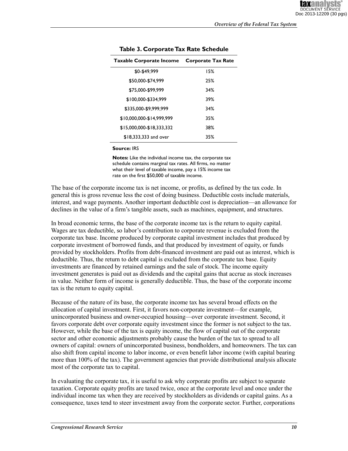| <b>Taxable Corporate Income</b> | <b>Corporate Tax Rate</b> |
|---------------------------------|---------------------------|
| \$0-\$49,999                    | 15%                       |
| \$50,000-\$74,999               | 25%                       |
| \$75,000-\$99,999               | 34%                       |
| \$100.000-\$334.999             | 39%                       |
| \$335,000-\$9,999,999           | 34%                       |
| \$10,000,000-\$14,999,999       | 35%                       |
| \$15,000,000-\$18,333,332       | 38%                       |
| \$18,333,333 and over           | 35%                       |

|  |  |  |  |  |  | Table 3. Corporate Tax Rate Schedule |
|--|--|--|--|--|--|--------------------------------------|
|--|--|--|--|--|--|--------------------------------------|

**Source:** IRS

**Notes:** Like the individual income tax, the corporate tax schedule contains marginal tax rates. All firms, no matter what their level of taxable income, pay a 15% income tax rate on the first \$50,000 of taxable income.

The base of the corporate income tax is net income, or profits, as defined by the tax code. In general this is gross revenue less the cost of doing business. Deductible costs include materials, interest, and wage payments. Another important deductible cost is depreciation—an allowance for declines in the value of a firm's tangible assets, such as machines, equipment, and structures.

In broad economic terms, the base of the corporate income tax is the return to equity capital. Wages are tax deductible, so labor's contribution to corporate revenue is excluded from the corporate tax base. Income produced by corporate capital investment includes that produced by corporate investment of borrowed funds, and that produced by investment of equity, or funds provided by stockholders. Profits from debt-financed investment are paid out as interest, which is deductible. Thus, the return to debt capital is excluded from the corporate tax base. Equity investments are financed by retained earnings and the sale of stock. The income equity investment generates is paid out as dividends and the capital gains that accrue as stock increases in value. Neither form of income is generally deductible. Thus, the base of the corporate income tax is the return to equity capital.

Because of the nature of its base, the corporate income tax has several broad effects on the allocation of capital investment. First, it favors non-corporate investment—for example, unincorporated business and owner-occupied housing—over corporate investment. Second, it favors corporate debt over corporate equity investment since the former is not subject to the tax. However, while the base of the tax is equity income, the flow of capital out of the corporate sector and other economic adjustments probably cause the burden of the tax to spread to all owners of capital: owners of unincorporated business, bondholders, and homeowners. The tax can also shift from capital income to labor income, or even benefit labor income (with capital bearing more than 100% of the tax). The government agencies that provide distributional analysis allocate most of the corporate tax to capital.

In evaluating the corporate tax, it is useful to ask why corporate profits are subject to separate taxation. Corporate equity profits are taxed twice, once at the corporate level and once under the individual income tax when they are received by stockholders as dividends or capital gains. As a consequence, taxes tend to steer investment away from the corporate sector. Further, corporations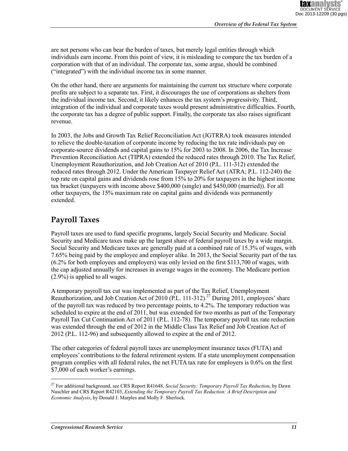are not persons who can bear the burden of taxes, but merely legal entities through which individuals earn income. From this point of view, it is misleading to compare the tax burden of a corporation with that of an individual. The corporate tax, some argue, should be combined ("integrated") with the individual income tax in some manner.

On the other hand, there are arguments for maintaining the current tax structure where corporate profits are subject to a separate tax. First, it discourages the use of corporations as shelters from the individual income tax. Second, it likely enhances the tax system's progressivity. Third, integration of the individual and corporate taxes would present administrative difficulties. Fourth, the corporate tax has a degree of public support. Finally, the corporate tax also raises significant revenue.

In 2003, the Jobs and Growth Tax Relief Reconciliation Act (JGTRRA) took measures intended to relieve the double-taxation of corporate income by reducing the tax rate individuals pay on corporate-source dividends and capital gains to 15% for 2003 to 2008. In 2006, the Tax Increase Prevention Reconciliation Act (TIPRA) extended the reduced rates through 2010. The Tax Relief, Unemployment Reauthorization, and Job Creation Act of 2010 (P.L. 111-312) extended the reduced rates through 2012. Under the American Taxpayer Relief Act (ATRA; P.L. 112-240) the top rate on capital gains and dividends rose from 15% to 20% for taxpayers in the highest income tax bracket (taxpayers with income above \$400,000 (single) and \$450,000 (married)). For all other taxpayers, the 15% maximum rate on capital gains and dividends was permanently extended.

## **Payroll Taxes**

Payroll taxes are used to fund specific programs, largely Social Security and Medicare. Social Security and Medicare taxes make up the largest share of federal payroll taxes by a wide margin. Social Security and Medicare taxes are generally paid at a combined rate of 15.3% of wages, with 7.65% being paid by the employee and employer alike. In 2013, the Social Security part of the tax (6.2% for both employees and employers) was only levied on the first \$113,700 of wages, with the cap adjusted annually for increases in average wages in the economy. The Medicare portion (2.9%) is applied to all wages.

A temporary payroll tax cut was implemented as part of the Tax Relief, Unemployment Reauthorization, and Job Creation Act of 2010 (P.L. 111-312).<sup>27</sup> During 2011, employees' share of the payroll tax was reduced by two percentage points, to 4.2%. The temporary reduction was scheduled to expire at the end of 2011, but was extended for two months as part of the Temporary Payroll Tax Cut Continuation Act of 2011 (P.L. 112-78). The temporary payroll tax rate reduction was extended through the end of 2012 in the Middle Class Tax Relief and Job Creation Act of 2012 (P.L. 112-96) and subsequently allowed to expire at the end of 2012.

The other categories of federal payroll taxes are unemployment insurance taxes (FUTA) and employees' contributions to the federal retirement system. If a state unemployment compensation program complies with all federal rules, the net FUTA tax rate for employers is 0.6% on the first \$7,000 of each worker's earnings.

<sup>27</sup> For additional background, see CRS Report R41648, *Social Security: Temporary Payroll Tax Reduction*, by Dawn Nuschler and CRS Report R42103, *Extending the Temporary Payroll Tax Reduction: A Brief Description and Economic Analysis*, by Donald J. Marples and Molly F. Sherlock.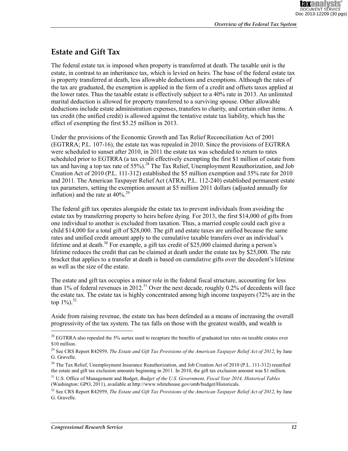## **Estate and Gift Tax**

The federal estate tax is imposed when property is transferred at death. The taxable unit is the estate, in contrast to an inheritance tax, which is levied on heirs. The base of the federal estate tax is property transferred at death, less allowable deductions and exemptions. Although the rates of the tax are graduated, the exemption is applied in the form of a credit and offsets taxes applied at the lower rates. Thus the taxable estate is effectively subject to a 40% rate in 2013. An unlimited marital deduction is allowed for property transferred to a surviving spouse. Other allowable deductions include estate administration expenses, transfers to charity, and certain other items. A tax credit (the unified credit) is allowed against the tentative estate tax liability, which has the effect of exempting the first \$5.25 million in 2013.

Under the provisions of the Economic Growth and Tax Relief Reconciliation Act of 2001 (EGTRRA; P.L. 107-16), the estate tax was repealed in 2010. Since the provisions of EGTRRA were scheduled to sunset after 2010, in 2011 the estate tax was scheduled to return to rates scheduled prior to EGTRRA (a tax credit effectively exempting the first \$1 million of estate from tax and having a top tax rate of 55%).<sup>28</sup> The Tax Relief, Unemployment Reauthorization, and Job Creation Act of 2010 (P.L. 111-312) established the \$5 million exemption and 35% rate for 2010 and 2011. The American Taxpayer Relief Act (ATRA; P.L. 112-240) established permanent estate tax parameters, setting the exemption amount at \$5 million 2011 dollars (adjusted annually for inflation) and the rate at  $40\%$ <sup>29</sup>

The federal gift tax operates alongside the estate tax to prevent individuals from avoiding the estate tax by transferring property to heirs before dying. For 2013, the first \$14,000 of gifts from one individual to another is excluded from taxation. Thus, a married couple could each give a child \$14,000 for a total gift of \$28,000. The gift and estate taxes are unified because the same rates and unified credit amount apply to the cumulative taxable transfers over an individual's lifetime and at death.<sup>30</sup> For example, a gift tax credit of \$25,000 claimed during a person's lifetime reduces the credit that can be claimed at death under the estate tax by \$25,000. The rate bracket that applies to a transfer at death is based on cumulative gifts over the decedent's lifetime as well as the size of the estate.

The estate and gift tax occupies a minor role in the federal fiscal structure, accounting for less than 1% of federal revenues in 2012.<sup>31</sup> Over the next decade, roughly 0.2% of decedents will face the estate tax. The estate tax is highly concentrated among high income taxpayers (72% are in the top  $1\%$ ).<sup>32</sup>

Aside from raising revenue, the estate tax has been defended as a means of increasing the overall progressivity of the tax system. The tax falls on those with the greatest wealth, and wealth is

<sup>&</sup>lt;sup>28</sup> EGTRRA also repealed the 5% surtax used to recapture the benefits of graduated tax rates on taxable estates over \$10 million.

<sup>29</sup> See CRS Report R42959, *The Estate and Gift Tax Provisions of the American Taxpayer Relief Act of 2012*, by Jane G. Gravelle.

<sup>&</sup>lt;sup>30</sup> The Tax Relief, Unemployment Insurance Reauthorization, and Job Creation Act of 2010 (P.L. 111-312) reunified the estate and gift tax exclusion amounts beginning in 2011. In 2010, the gift tax exclusion amount was \$1 million.

<sup>31</sup> U.S. Office of Management and Budget, *Budget of the U.S. Government, Fiscal Year 2014, Historical Tables* (Washington: GPO, 2011), available at http://www.whitehouse.gov/omb/budget/Historicals.

<sup>&</sup>lt;sup>32</sup> See CRS Report R42959, *The Estate and Gift Tax Provisions of the American Taxpayer Relief Act of 2012*, by Jane G. Gravelle.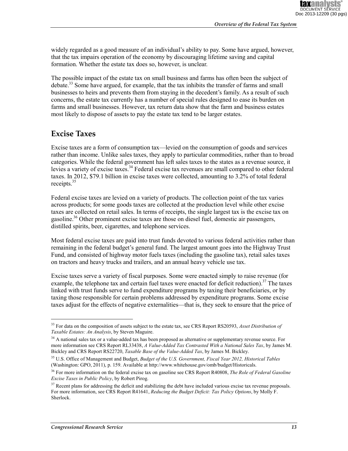widely regarded as a good measure of an individual's ability to pay. Some have argued, however, that the tax impairs operation of the economy by discouraging lifetime saving and capital formation. Whether the estate tax does so, however, is unclear.

The possible impact of the estate tax on small business and farms has often been the subject of debate.<sup>33</sup> Some have argued, for example, that the tax inhibits the transfer of farms and small businesses to heirs and prevents them from staying in the decedent's family. As a result of such concerns, the estate tax currently has a number of special rules designed to ease its burden on farms and small businesses. However, tax return data show that the farm and business estates most likely to dispose of assets to pay the estate tax tend to be larger estates.

#### **Excise Taxes**

Excise taxes are a form of consumption tax—levied on the consumption of goods and services rather than income. Unlike sales taxes, they apply to particular commodities, rather than to broad categories. While the federal government has left sales taxes to the states as a revenue source, it levies a variety of excise taxes.<sup>34</sup> Federal excise tax revenues are small compared to other federal taxes. In 2012, \$79.1 billion in excise taxes were collected, amounting to 3.2% of total federal receipts.<sup>35</sup>

Federal excise taxes are levied on a variety of products. The collection point of the tax varies across products; for some goods taxes are collected at the production level while other excise taxes are collected on retail sales. In terms of receipts, the single largest tax is the excise tax on gasoline.<sup>36</sup> Other prominent excise taxes are those on diesel fuel, domestic air passengers, distilled spirits, beer, cigarettes, and telephone services.

Most federal excise taxes are paid into trust funds devoted to various federal activities rather than remaining in the federal budget's general fund. The largest amount goes into the Highway Trust Fund, and consisted of highway motor fuels taxes (including the gasoline tax), retail sales taxes on tractors and heavy trucks and trailers, and an annual heavy vehicle use tax.

Excise taxes serve a variety of fiscal purposes. Some were enacted simply to raise revenue (for example, the telephone tax and certain fuel taxes were enacted for deficit reduction).<sup>37</sup> The taxes linked with trust funds serve to fund expenditure programs by taxing their beneficiaries, or by taxing those responsible for certain problems addressed by expenditure programs. Some excise taxes adjust for the effects of negative externalities—that is, they seek to ensure that the price of

<sup>33</sup> For data on the composition of assets subject to the estate tax, see CRS Report RS20593, *Asset Distribution of Taxable Estates: An Analysis*, by Steven Maguire.

<sup>&</sup>lt;sup>34</sup> A national sales tax or a value-added tax has been proposed as alternative or supplementary revenue source. For more information see CRS Report RL33438, *A Value-Added Tax Contrasted With a National Sales Tax*, by James M. Bickley and CRS Report RS22720, *Taxable Base of the Value-Added Tax*, by James M. Bickley.

<sup>35</sup> U.S. Office of Management and Budget, *Budget of the U.S. Government, Fiscal Year 2012, Historical Tables* (Washington: GPO, 2011), p. 159. Available at http://www.whitehouse.gov/omb/budget/Historicals.

<sup>36</sup> For more information on the federal excise tax on gasoline see CRS Report R40808, *The Role of Federal Gasoline Excise Taxes in Public Policy*, by Robert Pirog.

<sup>&</sup>lt;sup>37</sup> Recent plans for addressing the deficit and stabilizing the debt have included various excise tax revenue proposals. For more information, see CRS Report R41641, *Reducing the Budget Deficit: Tax Policy Options*, by Molly F. Sherlock.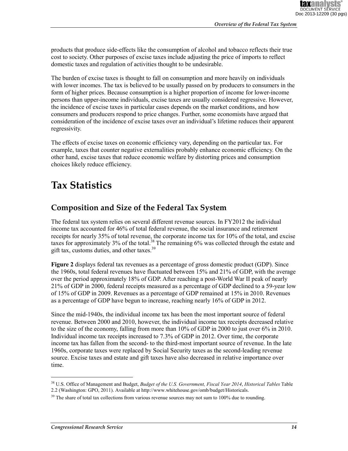products that produce side-effects like the consumption of alcohol and tobacco reflects their true cost to society. Other purposes of excise taxes include adjusting the price of imports to reflect domestic taxes and regulation of activities thought to be undesirable.

The burden of excise taxes is thought to fall on consumption and more heavily on individuals with lower incomes. The tax is believed to be usually passed on by producers to consumers in the form of higher prices. Because consumption is a higher proportion of income for lower-income persons than upper-income individuals, excise taxes are usually considered regressive. However, the incidence of excise taxes in particular cases depends on the market conditions, and how consumers and producers respond to price changes. Further, some economists have argued that consideration of the incidence of excise taxes over an individual's lifetime reduces their apparent regressivity.

The effects of excise taxes on economic efficiency vary, depending on the particular tax. For example, taxes that counter negative externalities probably enhance economic efficiency. On the other hand, excise taxes that reduce economic welfare by distorting prices and consumption choices likely reduce efficiency.

## **Tax Statistics**

### **Composition and Size of the Federal Tax System**

The federal tax system relies on several different revenue sources. In FY2012 the individual income tax accounted for 46% of total federal revenue, the social insurance and retirement receipts for nearly 35% of total revenue, the corporate income tax for 10% of the total, and excise taxes for approximately 3% of the total.<sup>38</sup> The remaining 6% was collected through the estate and gift tax, customs duties, and other taxes. $^{39}$ 

**Figure 2** displays federal tax revenues as a percentage of gross domestic product (GDP). Since the 1960s, total federal revenues have fluctuated between 15% and 21% of GDP, with the average over the period approximately 18% of GDP. After reaching a post-World War II peak of nearly 21% of GDP in 2000, federal receipts measured as a percentage of GDP declined to a 59-year low of 15% of GDP in 2009. Revenues as a percentage of GDP remained at 15% in 2010. Revenues as a percentage of GDP have begun to increase, reaching nearly 16% of GDP in 2012.

Since the mid-1940s, the individual income tax has been the most important source of federal revenue. Between 2000 and 2010, however, the individual income tax receipts decreased relative to the size of the economy, falling from more than 10% of GDP in 2000 to just over 6% in 2010. Individual income tax receipts increased to 7.3% of GDP in 2012. Over time, the corporate income tax has fallen from the second- to the third-most important source of revenue. In the late 1960s, corporate taxes were replaced by Social Security taxes as the second-leading revenue source. Excise taxes and estate and gift taxes have also decreased in relative importance over time.

<sup>38</sup> U.S. Office of Management and Budget, *Budget of the U.S. Government, Fiscal Year 2014*, *Historical Tables* Table 2.2 (Washington: GPO, 2011). Available at http://www.whitehouse.gov/omb/budget/Historicals.

 $39$  The share of total tax collections from various revenue sources may not sum to 100% due to rounding.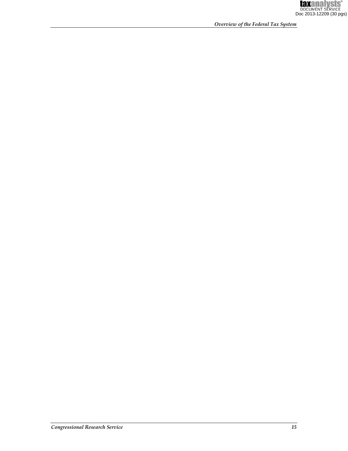

*Overview of the Federal Tax System*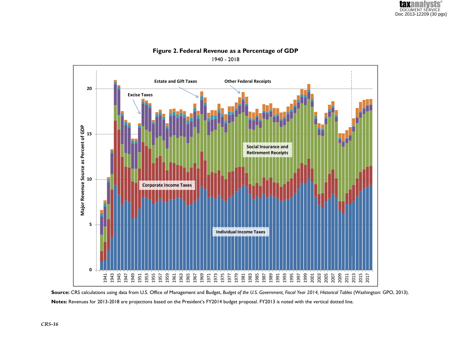



#### **Figure 2. Federal Revenue as a Percentage of GDP**

**Source:** CRS calculations using data from U.S. Office of Management and Budget, *Budget of the U.S. Government, Fiscal Year 2014, Historical Tables* (Washington: GPO, 2013). **Notes:** Revenues for 2013-2018 are projections based on the President's FY2014 budget proposal. FY2013 is noted with the vertical dotted line.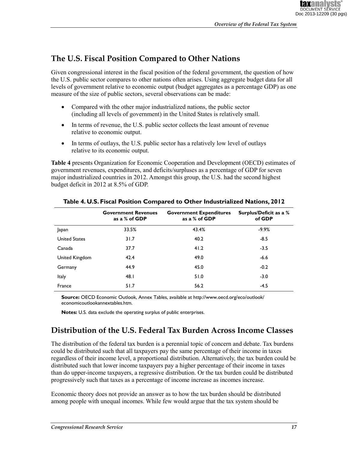## **The U.S. Fiscal Position Compared to Other Nations**

Given congressional interest in the fiscal position of the federal government, the question of how the U.S. public sector compares to other nations often arises. Using aggregate budget data for all levels of government relative to economic output (budget aggregates as a percentage GDP) as one measure of the size of public sectors, several observations can be made:

- Compared with the other major industrialized nations, the public sector (including all levels of government) in the United States is relatively small.
- In terms of revenue, the U.S. public sector collects the least amount of revenue relative to economic output.
- In terms of outlays, the U.S. public sector has a relatively low level of outlays relative to its economic output.

**Table 4** presents Organization for Economic Cooperation and Development (OECD) estimates of government revenues, expenditures, and deficits/surpluses as a percentage of GDP for seven major industrialized countries in 2012. Amongst this group, the U.S. had the second highest budget deficit in 2012 at 8.5% of GDP.

|                      | <b>Government Revenues</b><br>as a % of GDP | <b>Government Expenditures</b><br>as a % of GDP | Surplus/Deficit as a %<br>of GDP |
|----------------------|---------------------------------------------|-------------------------------------------------|----------------------------------|
| Japan                | 33.5%                                       | 43.4%                                           | $-9.9%$                          |
| <b>United States</b> | 31.7                                        | 40.2                                            | $-8.5$                           |
| Canada               | 37.7                                        | 41.2                                            | $-3.5$                           |
| United Kingdom       | 42.4                                        | 49.0                                            | $-6.6$                           |
| Germany              | 44.9                                        | 45.0                                            | $-0.2$                           |
| <b>Italy</b>         | 48.I                                        | 51.0                                            | $-3.0$                           |
| France               | 51.7                                        | 56.2                                            | $-4.5$                           |

#### **Table 4. U.S. Fiscal Position Compared to Other Industrialized Nations, 2012**

**Source:** OECD Economic Outlook, Annex Tables, available at http://www.oecd.org/eco/outlook/ economicoutlookannextables.htm.

**Notes:** U.S. data exclude the operating surplus of public enterprises.

## **Distribution of the U.S. Federal Tax Burden Across Income Classes**

The distribution of the federal tax burden is a perennial topic of concern and debate. Tax burdens could be distributed such that all taxpayers pay the same percentage of their income in taxes regardless of their income level, a proportional distribution. Alternatively, the tax burden could be distributed such that lower income taxpayers pay a higher percentage of their income in taxes than do upper-income taxpayers, a regressive distribution. Or the tax burden could be distributed progressively such that taxes as a percentage of income increase as incomes increase.

Economic theory does not provide an answer as to how the tax burden should be distributed among people with unequal incomes. While few would argue that the tax system should be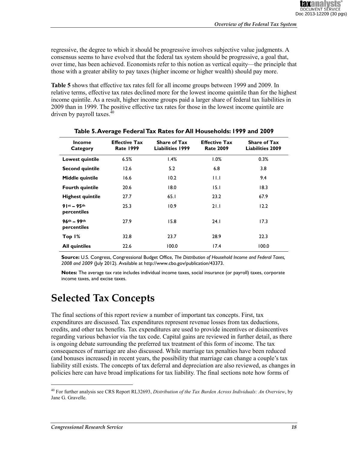regressive, the degree to which it should be progressive involves subjective value judgments. A consensus seems to have evolved that the federal tax system should be progressive, a goal that, over time, has been achieved. Economists refer to this notion as vertical equity—the principle that those with a greater ability to pay taxes (higher income or higher wealth) should pay more.

**Table 5** shows that effective tax rates fell for all income groups between 1999 and 2009. In relative terms, effective tax rates declined more for the lowest income quintile than for the highest income quintile. As a result, higher income groups paid a larger share of federal tax liabilities in 2009 than in 1999. The positive effective tax rates for those in the lowest income quintile are driven by payroll taxes.<sup>4</sup>

| <b>Income</b><br>Category       | <b>Effective Tax</b><br><b>Rate 1999</b> | Share of Tax<br><b>Liabilities 1999</b> | <b>Effective Tax</b><br><b>Rate 2009</b> | <b>Share of Tax</b><br><b>Liabilities 2009</b> |
|---------------------------------|------------------------------------------|-----------------------------------------|------------------------------------------|------------------------------------------------|
| Lowest quintile                 | 6.5%                                     | 1.4%                                    | 1.0%                                     | 0.3%                                           |
| <b>Second quintile</b>          | 12.6                                     | 5.2                                     | 6.8                                      | 3.8                                            |
| Middle quintile                 | 16.6                                     | 10.2                                    | 11.1                                     | 9.4                                            |
| <b>Fourth quintile</b>          | 20.6                                     | 18.0                                    | 15.1                                     | 18.3                                           |
| <b>Highest quintile</b>         | 27.7                                     | 65.1                                    | 23.2                                     | 67.9                                           |
| $9$ Ist $-95$ th<br>percentiles | 25.3                                     | 10.9                                    | 21.1                                     | 12.2                                           |
| 96th - 99th<br>percentiles      | 27.9                                     | 15.8                                    | 24.1                                     | 17.3                                           |
| Top $1%$                        | 32.8                                     | 23.7                                    | 28.9                                     | 22.3                                           |
| <b>All quintiles</b>            | 22.6                                     | 100.0                                   | 17.4                                     | 100.0                                          |

#### **Table 5. Average Federal Tax Rates for All Households: 1999 and 2009**

**Source:** U.S. Congress, Congressional Budget Office, *The Distribution of Household Income and Federal Taxes, 2008 and 2009* (July 2012). Available at http://www.cbo.gov/publication/43373.

**Notes:** The average tax rate includes individual income taxes, social insurance (or payroll) taxes, corporate income taxes, and excise taxes.

# **Selected Tax Concepts**

The final sections of this report review a number of important tax concepts. First, tax expenditures are discussed. Tax expenditures represent revenue losses from tax deductions, credits, and other tax benefits. Tax expenditures are used to provide incentives or disincentives regarding various behavior via the tax code. Capital gains are reviewed in further detail, as there is ongoing debate surrounding the preferred tax treatment of this form of income. The tax consequences of marriage are also discussed. While marriage tax penalties have been reduced (and bonuses increased) in recent years, the possibility that marriage can change a couple's tax liability still exists. The concepts of tax deferral and depreciation are also reviewed, as changes in policies here can have broad implications for tax liability. The final sections note how forms of

<sup>40</sup> For further analysis see CRS Report RL32693, *Distribution of the Tax Burden Across Individuals: An Overview*, by Jane G. Gravelle.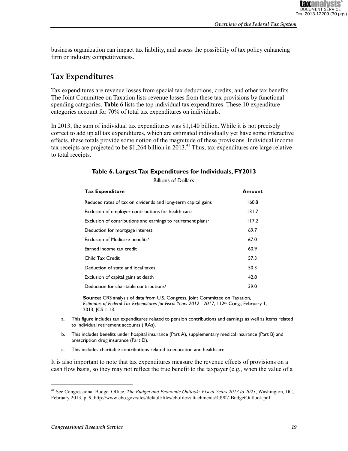business organization can impact tax liability, and assess the possibility of tax policy enhancing firm or industry competitiveness.

## **Tax Expenditures**

Tax expenditures are revenue losses from special tax deductions, credits, and other tax benefits. The Joint Committee on Taxation lists revenue losses from these tax provisions by functional spending categories. **Table 6** lists the top individual tax expenditures. These 10 expenditure categories account for 70% of total tax expenditures on individuals.

In 2013, the sum of individual tax expenditures was \$1,140 billion. While it is not precisely correct to add up all tax expenditures, which are estimated individually yet have some interactive effects, these totals provide some notion of the magnitude of these provisions. Individual income tax receipts are projected to be  $$1,264$  billion in 2013.<sup>41</sup> Thus, tax expenditures are large relative to total receipts.

| <b>Tax Expenditure</b>                                                   | Amount |
|--------------------------------------------------------------------------|--------|
| Reduced rates of tax on dividends and long-term capital gains            | 160.8  |
| Exclusion of employer contributions for health care                      | 131.7  |
| Exclusion of contributions and earnings to retirement plans <sup>a</sup> | 117.2  |
| Deduction for mortgage interest                                          | 69.7   |
| Exclusion of Medicare benefitsb                                          | 67.0   |
| Earned income tax credit                                                 | 60.9   |
| Child Tax Credit                                                         | 57.3   |
| Deduction of state and local taxes                                       | 50.3   |
| Exclusion of capital gains at death                                      | 42.8   |
| Deduction for charitable contributions <sup>c</sup>                      | 39.0   |

#### **Table 6. Largest Tax Expenditures for Individuals, FY2013**  Billions of Dollars

**Source:** CRS analysis of data from U.S. Congress, Joint Committee on Taxation, *Estimates of Federal Tax Expenditures for Fiscal Years 2012 - 2017*, 112th Cong., February 1, 2013, JCS-1-13.

- a. This figure includes tax expenditures related to pension contributions and earnings as well as items related to individual retirement accounts (IRAs).
- b. This includes benefits under hospital insurance (Part A), supplementary medical insurance (Part B) and prescription drug insurance (Part D).
- c. This includes charitable contributions related to education and healthcare.

It is also important to note that tax expenditures measure the revenue effects of provisions on a cash flow basis, so they may not reflect the true benefit to the taxpayer (e.g., when the value of a

<sup>41</sup> See Congressional Budget Office, *The Budget and Economic Outlook: Fiscal Years 2013 to 2023*, Washington, DC, February 2013, p. 9, http://www.cbo.gov/sites/default/files/cbofiles/attachments/43907-BudgetOutlook.pdf.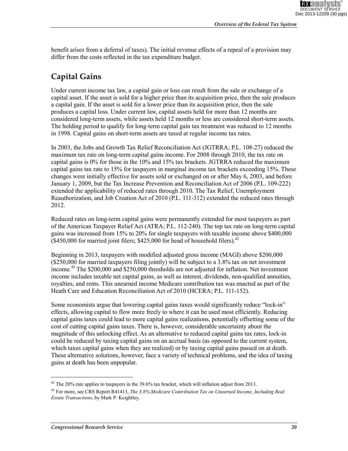benefit arises from a deferral of taxes). The initial revenue effects of a repeal of a provision may differ from the costs reflected in the tax expenditure budget.

## **Capital Gains**

Under current income tax law, a capital gain or loss can result from the sale or exchange of a capital asset. If the asset is sold for a higher price than its acquisition price, then the sale produces a capital gain. If the asset is sold for a lower price than its acquisition price, then the sale produces a capital loss. Under current law, capital assets held for more than 12 months are considered long-term assets, while assets held 12 months or less are considered short-term assets. The holding period to qualify for long-term capital gain tax treatment was reduced to 12 months in 1998. Capital gains on short-term assets are taxed at regular income tax rates.

In 2003, the Jobs and Growth Tax Relief Reconciliation Act (JGTRRA; P.L. 108-27) reduced the maximum tax rate on long-term capital gains income. For 2008 through 2010, the tax rate on capital gains is 0% for those in the 10% and 15% tax brackets. JGTRRA reduced the maximum capital gains tax rate to 15% for taxpayers in marginal income tax brackets exceeding 15%. These changes were initially effective for assets sold or exchanged on or after May 6, 2003, and before January 1, 2009, but the Tax Increase Prevention and Reconciliation Act of 2006 (P.L. 109-222) extended the applicability of reduced rates through 2010. The Tax Relief, Unemployment Reauthorization, and Job Creation Act of 2010 (P.L. 111-312) extended the reduced rates through 2012.

Reduced rates on long-term capital gains were permanently extended for most taxpayers as part of the American Taxpayer Relief Act (ATRA; P.L. 112-240). The top tax rate on long-term capital gains was increased from 15% to 20% for single taxpayers with taxable income above \$400,000  $(*450,000$  for married joint filers;  $*425,000$  for head of household filers).<sup>42</sup>

Beginning in 2013, taxpayers with modified adjusted gross income (MAGI) above \$200,000 (\$250,000 for married taxpayers filing jointly) will be subject to a 3.8% tax on net investment income.43 The \$200,000 and \$250,000 thresholds are not adjusted for inflation. Net investment income includes taxable net capital gains, as well as interest, dividends, non-qualified annuities, royalties, and rents. This unearned income Medicare contribution tax was enacted as part of the Heath Care and Education Reconciliation Act of 2010 (HCERA; P.L. 111-152).

Some economists argue that lowering capital gains taxes would significantly reduce "lock-in" effects, allowing capital to flow more freely to where it can be used most efficiently. Reducing capital gains taxes could lead to more capital gains realizations, potentially offsetting some of the cost of cutting capital gains taxes. There is, however, considerable uncertainty about the magnitude of this unlocking effect. As an alternative to reduced capital gains tax rates, lock-in could be reduced by taxing capital gains on an accrual basis (as opposed to the current system, which taxes capital gains when they are realized) or by taxing capital gains passed on at death. These alternative solutions, however, face a variety of technical problems, and the idea of taxing gains at death has been unpopular.

<sup>&</sup>lt;sup>42</sup> The 20% rate applies to taxpayers in the 39.6% tax bracket, which will inflation adjust from 2013.

<sup>43</sup> For more, see CRS Report R41413, *The 3.8% Medicare Contribution Tax on Unearned Income, Including Real Estate Transactions*, by Mark P. Keightley.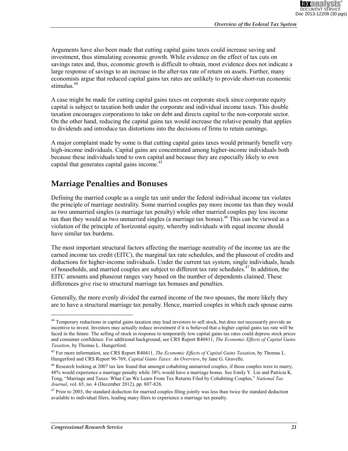Arguments have also been made that cutting capital gains taxes could increase saving and investment, thus stimulating economic growth. While evidence on the effect of tax cuts on savings rates and, thus, economic growth is difficult to obtain, most evidence does not indicate a large response of savings to an increase in the after-tax rate of return on assets. Further, many economists argue that reduced capital gains tax rates are unlikely to provide short-run economic stimulus.<sup>44</sup>

A case might be made for cutting capital gains taxes on corporate stock since corporate equity capital is subject to taxation both under the corporate and individual income taxes. This double taxation encourages corporations to take on debt and directs capital to the non-corporate sector. On the other hand, reducing the capital gains tax would increase the relative penalty that applies to dividends and introduce tax distortions into the decisions of firms to retain earnings.

A major complaint made by some is that cutting capital gains taxes would primarily benefit very high-income individuals. Capital gains are concentrated among higher-income individuals both because these individuals tend to own capital and because they are especially likely to own capital that generates capital gains income. $45$ 

### **Marriage Penalties and Bonuses**

Defining the married couple as a single tax unit under the federal individual income tax violates the principle of marriage neutrality. Some married couples pay more income tax than they would as two unmarried singles (a marriage tax penalty) while other married couples pay less income tax than they would as two unmarried singles (a marriage tax bonus).<sup>46</sup> This can be viewed as a violation of the principle of horizontal equity, whereby individuals with equal income should have similar tax burdens.

The most important structural factors affecting the marriage neutrality of the income tax are the earned income tax credit (EITC), the marginal tax rate schedules, and the phaseout of credits and deductions for higher-income individuals. Under the current tax system, single individuals, heads of households, and married couples are subject to different tax rate schedules.<sup>47</sup> In addition, the EITC amounts and phaseout ranges vary based on the number of dependents claimed. These differences give rise to structural marriage tax bonuses and penalties.

Generally, the more evenly divided the earned income of the two spouses, the more likely they are to have a structural marriage tax penalty. Hence, married couples in which each spouse earns

<sup>&</sup>lt;sup>44</sup> Temporary reductions in capital gains taxation may lead investors to sell stock, but does not necessarily provide an incentive to invest. Investors may actually reduce investment if it is believed that a higher capital gains tax rate will be faced in the future. The selling of stock in response to temporarily low capital gains tax rates could depress stock prices and consumer confidence. For additional background, see CRS Report R40411, *The Economic Effects of Capital Gains Taxation*, by Thomas L. Hungerford.

<sup>45</sup> For more information, see CRS Report R40411, *The Economic Effects of Capital Gains Taxation*, by Thomas L. Hungerford and CRS Report 96-769, *Capital Gains Taxes: An Overview*, by Jane G. Gravelle.

<sup>&</sup>lt;sup>46</sup> Research looking at 2007 tax law found that amongst cohabiting unmarried couples, if those couples were to marry, 48% would experience a marriage penalty while 38% would have a marriage bonus. See Emily Y. Lin and Patricia K. Tong, "Marriage and Taxes: What Can We Learn From Tax Returns Filed by Cohabiting Couples," *National Tax Journal*, vol. 65, no. 4 (December 2012), pp. 807-826.

 $47$  Prior to 2003, the standard deduction for married couples filing jointly was less than twice the standard deduction available to individual filers, leading many filers to experience a marriage tax penalty.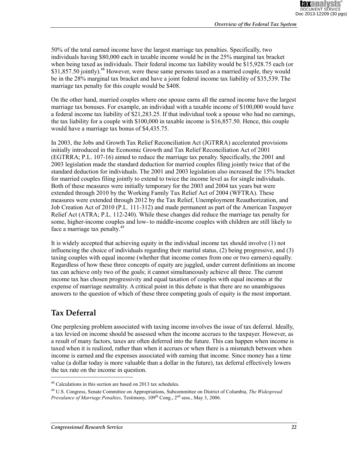50% of the total earned income have the largest marriage tax penalties. Specifically, two individuals having \$80,000 each in taxable income would be in the 25% marginal tax bracket when being taxed as individuals. Their federal income tax liability would be \$15,928.75 each (or  $$31,857.50$  jointly).<sup>48</sup> However, were these same persons taxed as a married couple, they would be in the 28% marginal tax bracket and have a joint federal income tax liability of \$35,539. The marriage tax penalty for this couple would be \$408.

On the other hand, married couples where one spouse earns all the earned income have the largest marriage tax bonuses. For example, an individual with a taxable income of \$100,000 would have a federal income tax liability of \$21,283.25. If that individual took a spouse who had no earnings, the tax liability for a couple with \$100,000 in taxable income is \$16,857.50. Hence, this couple would have a marriage tax bonus of \$4,435.75.

In 2003, the Jobs and Growth Tax Relief Reconciliation Act (JGTRRA) accelerated provisions initially introduced in the Economic Growth and Tax Relief Reconciliation Act of 2001 (EGTRRA; P.L. 107-16) aimed to reduce the marriage tax penalty. Specifically, the 2001 and 2003 legislation made the standard deduction for married couples filing jointly twice that of the standard deduction for individuals. The 2001 and 2003 legislation also increased the 15% bracket for married couples filing jointly to extend to twice the income level as for single individuals. Both of these measures were initially temporary for the 2003 and 2004 tax years but were extended through 2010 by the Working Family Tax Relief Act of 2004 (WFTRA). These measures were extended through 2012 by the Tax Relief, Unemployment Reauthorization, and Job Creation Act of 2010 (P.L. 111-312) and made permanent as part of the American Taxpayer Relief Act (ATRA; P.L. 112-240). While these changes did reduce the marriage tax penalty for some, higher-income couples and low- to middle-income couples with children are still likely to face a marriage tax penalty.<sup>49</sup>

It is widely accepted that achieving equity in the individual income tax should involve (1) not influencing the choice of individuals regarding their marital status, (2) being progressive, and (3) taxing couples with equal income (whether that income comes from one or two earners) equally. Regardless of how these three concepts of equity are juggled, under current definitions an income tax can achieve only two of the goals; it cannot simultaneously achieve all three. The current income tax has chosen progressivity and equal taxation of couples with equal incomes at the expense of marriage neutrality. A critical point in this debate is that there are no unambiguous answers to the question of which of these three competing goals of equity is the most important.

## **Tax Deferral**

1

One perplexing problem associated with taxing income involves the issue of tax deferral. Ideally, a tax levied on income should be assessed when the income accrues to the taxpayer. However, as a result of many factors, taxes are often deferred into the future. This can happen when income is taxed when it is realized, rather than when it accrues or when there is a mismatch between when income is earned and the expenses associated with earning that income. Since money has a time value (a dollar today is more valuable than a dollar in the future), tax deferral effectively lowers the tax rate on the income in question.

<sup>48</sup> Calculations in this section are based on 2013 tax schedules.

<sup>49</sup> U.S. Congress, Senate Committee on Appropriations, Subcommittee on District of Columbia, *The Widespread Prevalance of Marriage Penalties*, Testimony, 109<sup>th</sup> Cong., 2<sup>nd</sup> sess., May 3, 2006.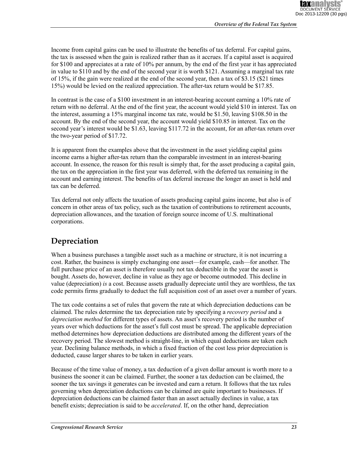Income from capital gains can be used to illustrate the benefits of tax deferral. For capital gains, the tax is assessed when the gain is realized rather than as it accrues. If a capital asset is acquired for \$100 and appreciates at a rate of 10% per annum, by the end of the first year it has appreciated in value to \$110 and by the end of the second year it is worth \$121. Assuming a marginal tax rate of 15%, if the gain were realized at the end of the second year, then a tax of \$3.15 (\$21 times 15%) would be levied on the realized appreciation. The after-tax return would be \$17.85.

In contrast is the case of a \$100 investment in an interest-bearing account earning a 10% rate of return with no deferral. At the end of the first year, the account would yield \$10 in interest. Tax on the interest, assuming a 15% marginal income tax rate, would be \$1.50, leaving \$108.50 in the account. By the end of the second year, the account would yield \$10.85 in interest. Tax on the second year's interest would be \$1.63, leaving \$117.72 in the account, for an after-tax return over the two-year period of \$17.72.

It is apparent from the examples above that the investment in the asset yielding capital gains income earns a higher after-tax return than the comparable investment in an interest-bearing account. In essence, the reason for this result is simply that, for the asset producing a capital gain, the tax on the appreciation in the first year was deferred, with the deferred tax remaining in the account and earning interest. The benefits of tax deferral increase the longer an asset is held and tax can be deferred.

Tax deferral not only affects the taxation of assets producing capital gains income, but also is of concern in other areas of tax policy, such as the taxation of contributions to retirement accounts, depreciation allowances, and the taxation of foreign source income of U.S. multinational corporations.

## **Depreciation**

When a business purchases a tangible asset such as a machine or structure, it is not incurring a cost. Rather, the business is simply exchanging one asset—for example, cash—for another. The full purchase price of an asset is therefore usually not tax deductible in the year the asset is bought. Assets do, however, decline in value as they age or become outmoded. This decline in value (depreciation) *is* a cost. Because assets gradually depreciate until they are worthless, the tax code permits firms gradually to deduct the full acquisition cost of an asset over a number of years.

The tax code contains a set of rules that govern the rate at which depreciation deductions can be claimed. The rules determine the tax depreciation rate by specifying a *recovery period* and a *depreciation method* for different types of assets. An asset's recovery period is the number of years over which deductions for the asset's full cost must be spread. The applicable depreciation method determines how depreciation deductions are distributed among the different years of the recovery period. The slowest method is straight-line, in which equal deductions are taken each year. Declining balance methods, in which a fixed fraction of the cost less prior depreciation is deducted, cause larger shares to be taken in earlier years.

Because of the time value of money, a tax deduction of a given dollar amount is worth more to a business the sooner it can be claimed. Further, the sooner a tax deduction can be claimed, the sooner the tax savings it generates can be invested and earn a return. It follows that the tax rules governing when depreciation deductions can be claimed are quite important to businesses. If depreciation deductions can be claimed faster than an asset actually declines in value, a tax benefit exists; depreciation is said to be *accelerated*. If, on the other hand, depreciation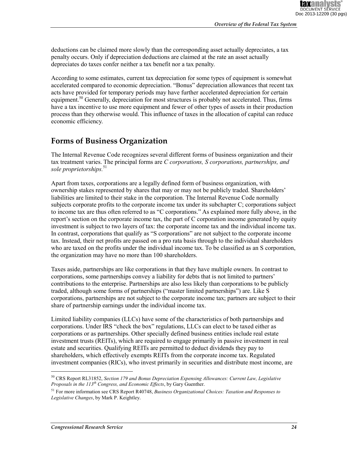deductions can be claimed more slowly than the corresponding asset actually depreciates, a tax penalty occurs. Only if depreciation deductions are claimed at the rate an asset actually depreciates do taxes confer neither a tax benefit nor a tax penalty.

According to some estimates, current tax depreciation for some types of equipment is somewhat accelerated compared to economic depreciation. "Bonus" depreciation allowances that recent tax acts have provided for temporary periods may have further accelerated depreciation for certain equipment.<sup>50</sup> Generally, depreciation for most structures is probably not accelerated. Thus, firms have a tax incentive to use more equipment and fewer of other types of assets in their production process than they otherwise would. This influence of taxes in the allocation of capital can reduce economic efficiency.

## **Forms of Business Organization**

The Internal Revenue Code recognizes several different forms of business organization and their tax treatment varies. The principal forms are *C corporations, S corporations, partnerships, and sole proprietorships.*<sup>51</sup>

Apart from taxes, corporations are a legally defined form of business organization, with ownership stakes represented by shares that may or may not be publicly traded. Shareholders' liabilities are limited to their stake in the corporation. The Internal Revenue Code normally subjects corporate profits to the corporate income tax under its subchapter C; corporations subject to income tax are thus often referred to as "C corporations." As explained more fully above, in the report's section on the corporate income tax, the part of C corporation income generated by equity investment is subject to two layers of tax: the corporate income tax and the individual income tax. In contrast, corporations that qualify as "S corporations" are not subject to the corporate income tax. Instead, their net profits are passed on a pro rata basis through to the individual shareholders who are taxed on the profits under the individual income tax. To be classified as an S corporation, the organization may have no more than 100 shareholders.

Taxes aside, partnerships are like corporations in that they have multiple owners. In contrast to corporations, some partnerships convey a liability for debts that is not limited to partners' contributions to the enterprise. Partnerships are also less likely than corporations to be publicly traded, although some forms of partnerships ("master limited partnerships") are. Like S corporations, partnerships are not subject to the corporate income tax; partners are subject to their share of partnership earnings under the individual income tax.

Limited liability companies (LLCs) have some of the characteristics of both partnerships and corporations. Under IRS "check the box" regulations, LLCs can elect to be taxed either as corporations or as partnerships. Other specially defined business entities include real estate investment trusts (REITs), which are required to engage primarily in passive investment in real estate and securities. Qualifying REITs are permitted to deduct dividends they pay to shareholders, which effectively exempts REITs from the corporate income tax. Regulated investment companies (RICs), who invest primarily in securities and distribute most income, are

<sup>50</sup> CRS Report RL31852, *Section 179 and Bonus Depreciation Expensing Allowances: Current Law, Legislative Proposals in the 113th Congress, and Economic Effects*, by Gary Guenther.

<sup>51</sup> For more information see CRS Report R40748, *Business Organizational Choices: Taxation and Responses to Legislative Changes*, by Mark P. Keightley.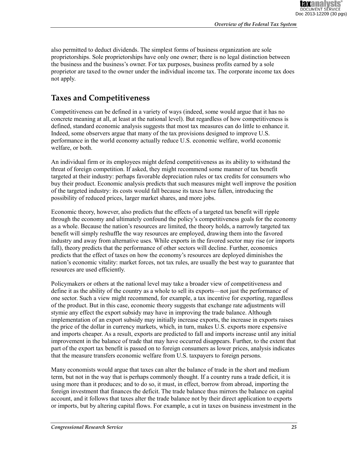also permitted to deduct dividends. The simplest forms of business organization are sole proprietorships. Sole proprietorships have only one owner; there is no legal distinction between the business and the business's owner. For tax purposes, business profits earned by a sole proprietor are taxed to the owner under the individual income tax. The corporate income tax does not apply.

### **Taxes and Competitiveness**

Competitiveness can be defined in a variety of ways (indeed, some would argue that it has no concrete meaning at all, at least at the national level). But regardless of how competitiveness is defined, standard economic analysis suggests that most tax measures can do little to enhance it. Indeed, some observers argue that many of the tax provisions designed to improve U.S. performance in the world economy actually reduce U.S. economic welfare, world economic welfare, or both.

An individual firm or its employees might defend competitiveness as its ability to withstand the threat of foreign competition. If asked, they might recommend some manner of tax benefit targeted at their industry: perhaps favorable depreciation rules or tax credits for consumers who buy their product. Economic analysis predicts that such measures might well improve the position of the targeted industry: its costs would fall because its taxes have fallen, introducing the possibility of reduced prices, larger market shares, and more jobs.

Economic theory, however, also predicts that the effects of a targeted tax benefit will ripple through the economy and ultimately confound the policy's competitiveness goals for the economy as a whole. Because the nation's resources are limited, the theory holds, a narrowly targeted tax benefit will simply reshuffle the way resources are employed, drawing them into the favored industry and away from alternative uses. While exports in the favored sector may rise (or imports fall), theory predicts that the performance of other sectors will decline. Further, economics predicts that the effect of taxes on how the economy's resources are deployed diminishes the nation's economic vitality: market forces, not tax rules, are usually the best way to guarantee that resources are used efficiently.

Policymakers or others at the national level may take a broader view of competitiveness and define it as the ability of the country as a whole to sell its exports—not just the performance of one sector. Such a view might recommend, for example, a tax incentive for exporting, regardless of the product. But in this case, economic theory suggests that exchange rate adjustments will stymie any effect the export subsidy may have in improving the trade balance. Although implementation of an export subsidy may initially increase exports, the increase in exports raises the price of the dollar in currency markets, which, in turn, makes U.S. exports more expensive and imports cheaper. As a result, exports are predicted to fall and imports increase until any initial improvement in the balance of trade that may have occurred disappears. Further, to the extent that part of the export tax benefit is passed on to foreign consumers as lower prices, analysis indicates that the measure transfers economic welfare from U.S. taxpayers to foreign persons.

Many economists would argue that taxes can alter the balance of trade in the short and medium term, but not in the way that is perhaps commonly thought. If a country runs a trade deficit, it is using more than it produces; and to do so, it must, in effect, borrow from abroad, importing the foreign investment that finances the deficit. The trade balance thus mirrors the balance on capital account, and it follows that taxes alter the trade balance not by their direct application to exports or imports, but by altering capital flows. For example, a cut in taxes on business investment in the